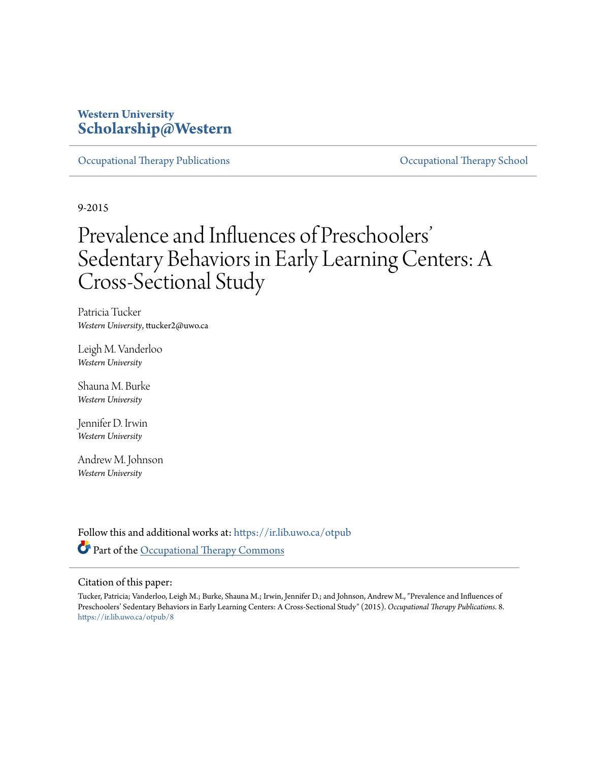# **Western University [Scholarship@Western](https://ir.lib.uwo.ca?utm_source=ir.lib.uwo.ca%2Fotpub%2F8&utm_medium=PDF&utm_campaign=PDFCoverPages)**

[Occupational Therapy Publications](https://ir.lib.uwo.ca/otpub?utm_source=ir.lib.uwo.ca%2Fotpub%2F8&utm_medium=PDF&utm_campaign=PDFCoverPages) [Occupational Therapy School](https://ir.lib.uwo.ca/ot?utm_source=ir.lib.uwo.ca%2Fotpub%2F8&utm_medium=PDF&utm_campaign=PDFCoverPages)

9-2015

# Prevalence and Influences of Preschoolers ' Sedentary Behaviors in Early Learning Centers: A Cross-Sectional Study

Patricia Tucker *Western University*, ttucker2@uwo.ca

Leigh M. Vanderloo *Western University*

Shauna M. Burke *Western University*

Jennifer D. Irwin *Western University*

Andrew M. Johnson *Western University*

Follow this and additional works at: [https://ir.lib.uwo.ca/otpub](https://ir.lib.uwo.ca/otpub?utm_source=ir.lib.uwo.ca%2Fotpub%2F8&utm_medium=PDF&utm_campaign=PDFCoverPages) Part of the [Occupational Therapy Commons](http://network.bepress.com/hgg/discipline/752?utm_source=ir.lib.uwo.ca%2Fotpub%2F8&utm_medium=PDF&utm_campaign=PDFCoverPages)

# Citation of this paper:

Tucker, Patricia; Vanderloo, Leigh M.; Burke, Shauna M.; Irwin, Jennifer D.; and Johnson, Andrew M., "Prevalence and Influences of Preschoolers' Sedentary Behaviors in Early Learning Centers: A Cross-Sectional Study" (2015). *Occupational Therapy Publications*. 8. [https://ir.lib.uwo.ca/otpub/8](https://ir.lib.uwo.ca/otpub/8?utm_source=ir.lib.uwo.ca%2Fotpub%2F8&utm_medium=PDF&utm_campaign=PDFCoverPages)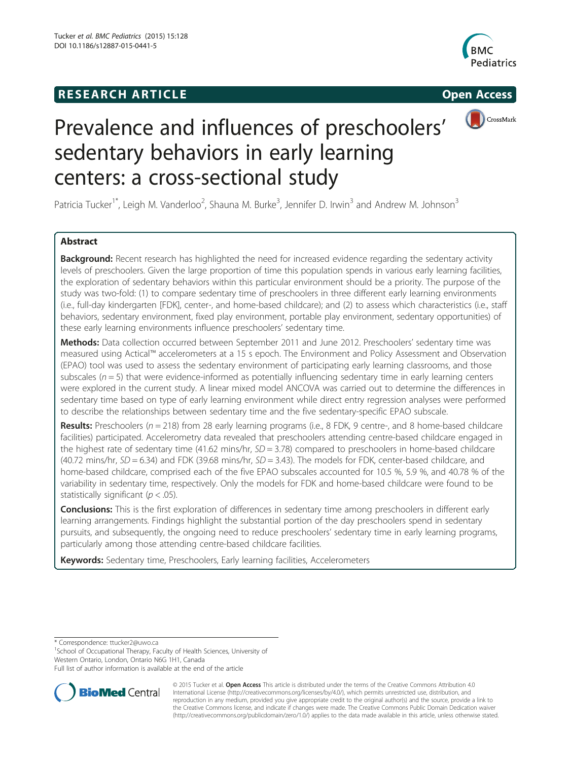# **RESEARCH ARTICLE Example 2014 COPEN ACCESS**





# Prevalence and influences of preschoolers' sedentary behaviors in early learning centers: a cross-sectional study

Patricia Tucker<sup>1\*</sup>, Leigh M. Vanderloo<sup>2</sup>, Shauna M. Burke<sup>3</sup>, Jennifer D. Irwin<sup>3</sup> and Andrew M. Johnson<sup>3</sup>

# Abstract

Background: Recent research has highlighted the need for increased evidence regarding the sedentary activity levels of preschoolers. Given the large proportion of time this population spends in various early learning facilities, the exploration of sedentary behaviors within this particular environment should be a priority. The purpose of the study was two-fold: (1) to compare sedentary time of preschoolers in three different early learning environments (i.e., full-day kindergarten [FDK], center-, and home-based childcare); and (2) to assess which characteristics (i.e., staff behaviors, sedentary environment, fixed play environment, portable play environment, sedentary opportunities) of these early learning environments influence preschoolers' sedentary time.

Methods: Data collection occurred between September 2011 and June 2012. Preschoolers' sedentary time was measured using Actical™ accelerometers at a 15 s epoch. The Environment and Policy Assessment and Observation (EPAO) tool was used to assess the sedentary environment of participating early learning classrooms, and those subscales ( $n = 5$ ) that were evidence-informed as potentially influencing sedentary time in early learning centers were explored in the current study. A linear mixed model ANCOVA was carried out to determine the differences in sedentary time based on type of early learning environment while direct entry regression analyses were performed to describe the relationships between sedentary time and the five sedentary-specific EPAO subscale.

Results: Preschoolers ( $n = 218$ ) from 28 early learning programs (i.e., 8 FDK, 9 centre-, and 8 home-based childcare facilities) participated. Accelerometry data revealed that preschoolers attending centre-based childcare engaged in the highest rate of sedentary time (41.62 mins/hr,  $SD = 3.78$ ) compared to preschoolers in home-based childcare (40.72 mins/hr,  $SD = 6.34$ ) and FDK (39.68 mins/hr,  $SD = 3.43$ ). The models for FDK, center-based childcare, and home-based childcare, comprised each of the five EPAO subscales accounted for 10.5 %, 5.9 %, and 40.78 % of the variability in sedentary time, respectively. Only the models for FDK and home-based childcare were found to be statistically significant ( $p < .05$ ).

**Conclusions:** This is the first exploration of differences in sedentary time among preschoolers in different early learning arrangements. Findings highlight the substantial portion of the day preschoolers spend in sedentary pursuits, and subsequently, the ongoing need to reduce preschoolers' sedentary time in early learning programs, particularly among those attending centre-based childcare facilities.

Keywords: Sedentary time, Preschoolers, Early learning facilities, Accelerometers

\* Correspondence: [ttucker2@uwo.ca](mailto:ttucker2@uwo.ca) <sup>1</sup>

<sup>1</sup>School of Occupational Therapy, Faculty of Health Sciences, University of Western Ontario, London, Ontario N6G 1H1, Canada

Full list of author information is available at the end of the article



© 2015 Tucker et al. Open Access This article is distributed under the terms of the Creative Commons Attribution 4.0 International License [\(http://creativecommons.org/licenses/by/4.0/](http://creativecommons.org/licenses/by/4.0/)), which permits unrestricted use, distribution, and reproduction in any medium, provided you give appropriate credit to the original author(s) and the source, provide a link to the Creative Commons license, and indicate if changes were made. The Creative Commons Public Domain Dedication waiver [\(http://creativecommons.org/publicdomain/zero/1.0/](http://creativecommons.org/publicdomain/zero/1.0/)) applies to the data made available in this article, unless otherwise stated.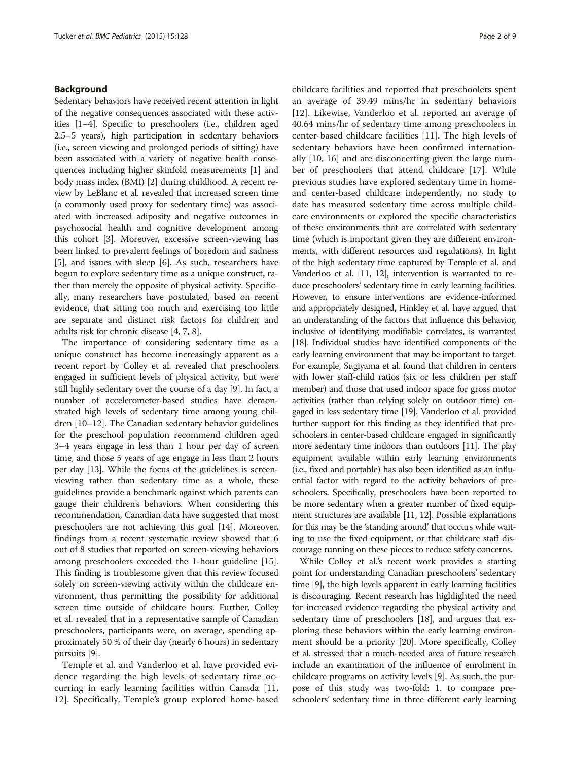### Background

Sedentary behaviors have received recent attention in light of the negative consequences associated with these activities [\[1](#page-8-0)–[4\]](#page-8-0). Specific to preschoolers (i.e., children aged 2.5–5 years), high participation in sedentary behaviors (i.e., screen viewing and prolonged periods of sitting) have been associated with a variety of negative health consequences including higher skinfold measurements [\[1\]](#page-8-0) and body mass index (BMI) [[2](#page-8-0)] during childhood. A recent review by LeBlanc et al. revealed that increased screen time (a commonly used proxy for sedentary time) was associated with increased adiposity and negative outcomes in psychosocial health and cognitive development among this cohort [[3](#page-8-0)]. Moreover, excessive screen-viewing has been linked to prevalent feelings of boredom and sadness [[5\]](#page-8-0), and issues with sleep [\[6](#page-8-0)]. As such, researchers have begun to explore sedentary time as a unique construct, rather than merely the opposite of physical activity. Specifically, many researchers have postulated, based on recent evidence, that sitting too much and exercising too little are separate and distinct risk factors for children and adults risk for chronic disease [\[4](#page-8-0), [7, 8](#page-8-0)].

The importance of considering sedentary time as a unique construct has become increasingly apparent as a recent report by Colley et al. revealed that preschoolers engaged in sufficient levels of physical activity, but were still highly sedentary over the course of a day [[9\]](#page-8-0). In fact, a number of accelerometer-based studies have demonstrated high levels of sedentary time among young children [[10](#page-8-0)–[12\]](#page-8-0). The Canadian sedentary behavior guidelines for the preschool population recommend children aged 3–4 years engage in less than 1 hour per day of screen time, and those 5 years of age engage in less than 2 hours per day [[13](#page-8-0)]. While the focus of the guidelines is screenviewing rather than sedentary time as a whole, these guidelines provide a benchmark against which parents can gauge their children's behaviors. When considering this recommendation, Canadian data have suggested that most preschoolers are not achieving this goal [[14](#page-8-0)]. Moreover, findings from a recent systematic review showed that 6 out of 8 studies that reported on screen-viewing behaviors among preschoolers exceeded the 1-hour guideline [[15](#page-8-0)]. This finding is troublesome given that this review focused solely on screen-viewing activity within the childcare environment, thus permitting the possibility for additional screen time outside of childcare hours. Further, Colley et al. revealed that in a representative sample of Canadian preschoolers, participants were, on average, spending approximately 50 % of their day (nearly 6 hours) in sedentary pursuits [[9](#page-8-0)].

Temple et al. and Vanderloo et al. have provided evidence regarding the high levels of sedentary time occurring in early learning facilities within Canada [\[11](#page-8-0), [12\]](#page-8-0). Specifically, Temple's group explored home-based childcare facilities and reported that preschoolers spent an average of 39.49 mins/hr in sedentary behaviors [[12\]](#page-8-0). Likewise, Vanderloo et al. reported an average of 40.64 mins/hr of sedentary time among preschoolers in center-based childcare facilities [\[11](#page-8-0)]. The high levels of sedentary behaviors have been confirmed internationally [\[10](#page-8-0), [16\]](#page-8-0) and are disconcerting given the large number of preschoolers that attend childcare [[17\]](#page-8-0). While previous studies have explored sedentary time in homeand center-based childcare independently, no study to date has measured sedentary time across multiple childcare environments or explored the specific characteristics of these environments that are correlated with sedentary time (which is important given they are different environments, with different resources and regulations). In light of the high sedentary time captured by Temple et al. and Vanderloo et al. [\[11](#page-8-0), [12\]](#page-8-0), intervention is warranted to reduce preschoolers' sedentary time in early learning facilities. However, to ensure interventions are evidence-informed and appropriately designed, Hinkley et al. have argued that an understanding of the factors that influence this behavior, inclusive of identifying modifiable correlates, is warranted [[18](#page-8-0)]. Individual studies have identified components of the early learning environment that may be important to target. For example, Sugiyama et al. found that children in centers with lower staff-child ratios (six or less children per staff member) and those that used indoor space for gross motor activities (rather than relying solely on outdoor time) engaged in less sedentary time [\[19\]](#page-8-0). Vanderloo et al. provided further support for this finding as they identified that preschoolers in center-based childcare engaged in significantly more sedentary time indoors than outdoors [[11](#page-8-0)]. The play equipment available within early learning environments (i.e., fixed and portable) has also been identified as an influential factor with regard to the activity behaviors of preschoolers. Specifically, preschoolers have been reported to be more sedentary when a greater number of fixed equipment structures are available [[11](#page-8-0), [12](#page-8-0)]. Possible explanations for this may be the 'standing around' that occurs while waiting to use the fixed equipment, or that childcare staff discourage running on these pieces to reduce safety concerns.

While Colley et al.'s recent work provides a starting point for understanding Canadian preschoolers' sedentary time [\[9](#page-8-0)], the high levels apparent in early learning facilities is discouraging. Recent research has highlighted the need for increased evidence regarding the physical activity and sedentary time of preschoolers [\[18](#page-8-0)], and argues that exploring these behaviors within the early learning environment should be a priority [\[20\]](#page-8-0). More specifically, Colley et al. stressed that a much-needed area of future research include an examination of the influence of enrolment in childcare programs on activity levels [\[9](#page-8-0)]. As such, the purpose of this study was two-fold: 1. to compare preschoolers' sedentary time in three different early learning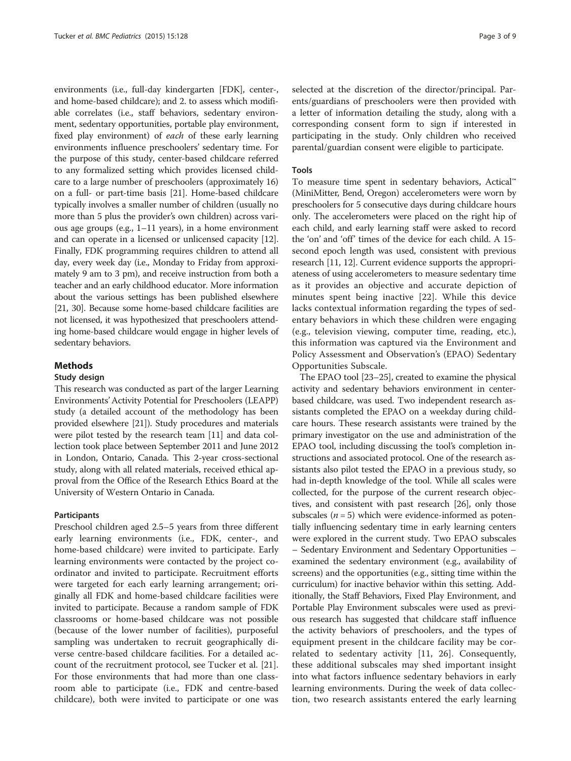environments (i.e., full-day kindergarten [FDK], center-, and home-based childcare); and 2. to assess which modifiable correlates (i.e., staff behaviors, sedentary environment, sedentary opportunities, portable play environment, fixed play environment) of each of these early learning environments influence preschoolers' sedentary time. For the purpose of this study, center-based childcare referred to any formalized setting which provides licensed childcare to a large number of preschoolers (approximately 16) on a full- or part-time basis [[21](#page-9-0)]. Home-based childcare typically involves a smaller number of children (usually no more than 5 plus the provider's own children) across various age groups (e.g., 1–11 years), in a home environment and can operate in a licensed or unlicensed capacity [[12](#page-8-0)]. Finally, FDK programming requires children to attend all day, every week day (i.e., Monday to Friday from approximately 9 am to 3 pm), and receive instruction from both a teacher and an early childhood educator. More information about the various settings has been published elsewhere [[21](#page-9-0), [30](#page-9-0)]. Because some home-based childcare facilities are not licensed, it was hypothesized that preschoolers attending home-based childcare would engage in higher levels of sedentary behaviors.

# Methods

### Study design

This research was conducted as part of the larger Learning Environments' Activity Potential for Preschoolers (LEAPP) study (a detailed account of the methodology has been provided elsewhere [[21](#page-9-0)]). Study procedures and materials were pilot tested by the research team [\[11\]](#page-8-0) and data collection took place between September 2011 and June 2012 in London, Ontario, Canada. This 2-year cross-sectional study, along with all related materials, received ethical approval from the Office of the Research Ethics Board at the University of Western Ontario in Canada.

# **Participants**

Preschool children aged 2.5–5 years from three different early learning environments (i.e., FDK, center-, and home-based childcare) were invited to participate. Early learning environments were contacted by the project coordinator and invited to participate. Recruitment efforts were targeted for each early learning arrangement; originally all FDK and home-based childcare facilities were invited to participate. Because a random sample of FDK classrooms or home-based childcare was not possible (because of the lower number of facilities), purposeful sampling was undertaken to recruit geographically diverse centre-based childcare facilities. For a detailed account of the recruitment protocol, see Tucker et al. [\[21](#page-9-0)]. For those environments that had more than one classroom able to participate (i.e., FDK and centre-based childcare), both were invited to participate or one was

selected at the discretion of the director/principal. Parents/guardians of preschoolers were then provided with a letter of information detailing the study, along with a corresponding consent form to sign if interested in participating in the study. Only children who received parental/guardian consent were eligible to participate.

#### Tools

To measure time spent in sedentary behaviors, Actical™ (MiniMitter, Bend, Oregon) accelerometers were worn by preschoolers for 5 consecutive days during childcare hours only. The accelerometers were placed on the right hip of each child, and early learning staff were asked to record the 'on' and 'off' times of the device for each child. A 15 second epoch length was used, consistent with previous research [[11, 12\]](#page-8-0). Current evidence supports the appropriateness of using accelerometers to measure sedentary time as it provides an objective and accurate depiction of minutes spent being inactive [\[22](#page-9-0)]. While this device lacks contextual information regarding the types of sedentary behaviors in which these children were engaging (e.g., television viewing, computer time, reading, etc.), this information was captured via the Environment and Policy Assessment and Observation's (EPAO) Sedentary Opportunities Subscale.

The EPAO tool [\[23](#page-9-0)–[25](#page-9-0)], created to examine the physical activity and sedentary behaviors environment in centerbased childcare, was used. Two independent research assistants completed the EPAO on a weekday during childcare hours. These research assistants were trained by the primary investigator on the use and administration of the EPAO tool, including discussing the tool's completion instructions and associated protocol. One of the research assistants also pilot tested the EPAO in a previous study, so had in-depth knowledge of the tool. While all scales were collected, for the purpose of the current research objectives, and consistent with past research [[26](#page-9-0)], only those subscales ( $n = 5$ ) which were evidence-informed as potentially influencing sedentary time in early learning centers were explored in the current study. Two EPAO subscales – Sedentary Environment and Sedentary Opportunities – examined the sedentary environment (e.g., availability of screens) and the opportunities (e.g., sitting time within the curriculum) for inactive behavior within this setting. Additionally, the Staff Behaviors, Fixed Play Environment, and Portable Play Environment subscales were used as previous research has suggested that childcare staff influence the activity behaviors of preschoolers, and the types of equipment present in the childcare facility may be correlated to sedentary activity [\[11](#page-8-0), [26\]](#page-9-0). Consequently, these additional subscales may shed important insight into what factors influence sedentary behaviors in early learning environments. During the week of data collection, two research assistants entered the early learning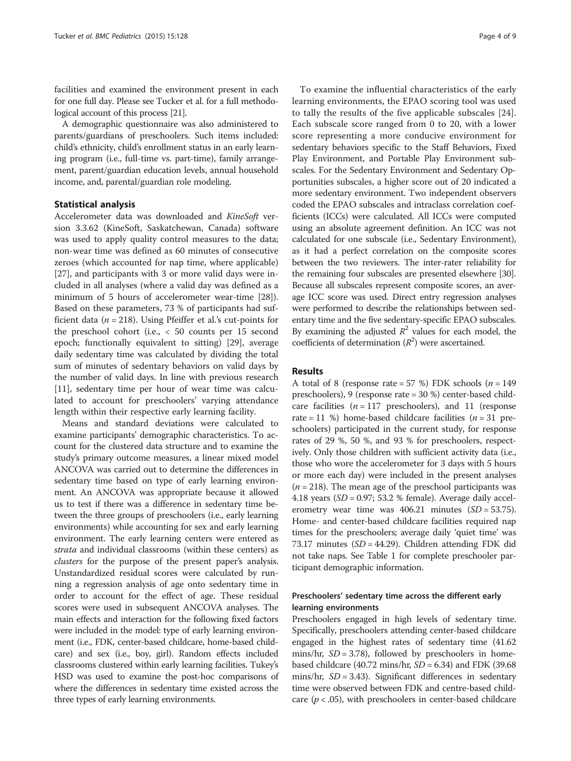facilities and examined the environment present in each for one full day. Please see Tucker et al. for a full methodological account of this process [[21](#page-9-0)].

A demographic questionnaire was also administered to parents/guardians of preschoolers. Such items included: child's ethnicity, child's enrollment status in an early learning program (i.e., full-time vs. part-time), family arrangement, parent/guardian education levels, annual household income, and, parental/guardian role modeling.

#### Statistical analysis

Accelerometer data was downloaded and KineSoft version 3.3.62 (KineSoft, Saskatchewan, Canada) software was used to apply quality control measures to the data; non-wear time was defined as 60 minutes of consecutive zeroes (which accounted for nap time, where applicable) [[27\]](#page-9-0), and participants with 3 or more valid days were included in all analyses (where a valid day was defined as a minimum of 5 hours of accelerometer wear-time [\[28](#page-9-0)]). Based on these parameters, 73 % of participants had sufficient data ( $n = 218$ ). Using Pfeiffer et al.'s cut-points for the preschool cohort (i.e., < 50 counts per 15 second epoch; functionally equivalent to sitting) [[29\]](#page-9-0), average daily sedentary time was calculated by dividing the total sum of minutes of sedentary behaviors on valid days by the number of valid days. In line with previous research [[11\]](#page-8-0), sedentary time per hour of wear time was calculated to account for preschoolers' varying attendance length within their respective early learning facility.

Means and standard deviations were calculated to examine participants' demographic characteristics. To account for the clustered data structure and to examine the study's primary outcome measures, a linear mixed model ANCOVA was carried out to determine the differences in sedentary time based on type of early learning environment. An ANCOVA was appropriate because it allowed us to test if there was a difference in sedentary time between the three groups of preschoolers (i.e., early learning environments) while accounting for sex and early learning environment. The early learning centers were entered as strata and individual classrooms (within these centers) as clusters for the purpose of the present paper's analysis. Unstandardized residual scores were calculated by running a regression analysis of age onto sedentary time in order to account for the effect of age. These residual scores were used in subsequent ANCOVA analyses. The main effects and interaction for the following fixed factors were included in the model: type of early learning environment (i.e., FDK, center-based childcare, home-based childcare) and sex (i.e., boy, girl). Random effects included classrooms clustered within early learning facilities. Tukey's HSD was used to examine the post-hoc comparisons of where the differences in sedentary time existed across the three types of early learning environments.

To examine the influential characteristics of the early learning environments, the EPAO scoring tool was used to tally the results of the five applicable subscales [\[24](#page-9-0)]. Each subscale score ranged from 0 to 20, with a lower score representing a more conducive environment for sedentary behaviors specific to the Staff Behaviors, Fixed Play Environment, and Portable Play Environment subscales. For the Sedentary Environment and Sedentary Opportunities subscales, a higher score out of 20 indicated a more sedentary environment. Two independent observers coded the EPAO subscales and intraclass correlation coefficients (ICCs) were calculated. All ICCs were computed using an absolute agreement definition. An ICC was not calculated for one subscale (i.e., Sedentary Environment), as it had a perfect correlation on the composite scores between the two reviewers. The inter-rater reliability for the remaining four subscales are presented elsewhere [[30](#page-9-0)]. Because all subscales represent composite scores, an average ICC score was used. Direct entry regression analyses were performed to describe the relationships between sedentary time and the five sedentary-specific EPAO subscales. By examining the adjusted  $R^2$  values for each model, the coefficients of determination  $(R^2)$  were ascertained.

# Results

A total of 8 (response rate = 57 %) FDK schools  $(n = 149)$ preschoolers), 9 (response rate = 30 %) center-based childcare facilities  $(n = 117$  preschoolers), and 11 (response rate = 11 %) home-based childcare facilities  $(n = 31$  preschoolers) participated in the current study, for response rates of 29 %, 50 %, and 93 % for preschoolers, respectively. Only those children with sufficient activity data (i.e., those who wore the accelerometer for 3 days with 5 hours or more each day) were included in the present analyses  $(n = 218)$ . The mean age of the preschool participants was 4.18 years  $(SD = 0.97; 53.2$  % female). Average daily accelerometry wear time was  $406.21$  minutes  $(SD = 53.75)$ . Home- and center-based childcare facilities required nap times for the preschoolers; average daily 'quiet time' was 73.17 minutes ( $SD = 44.29$ ). Children attending FDK did not take naps. See Table [1](#page-5-0) for complete preschooler participant demographic information.

# Preschoolers' sedentary time across the different early learning environments

Preschoolers engaged in high levels of sedentary time. Specifically, preschoolers attending center-based childcare engaged in the highest rates of sedentary time (41.62 mins/hr,  $SD = 3.78$ ), followed by preschoolers in homebased childcare  $(40.72 \text{ mins/hr}, SD = 6.34)$  and FDK  $(39.68 \text{ m})$ mins/hr,  $SD = 3.43$ ). Significant differences in sedentary time were observed between FDK and centre-based childcare ( $p < .05$ ), with preschoolers in center-based childcare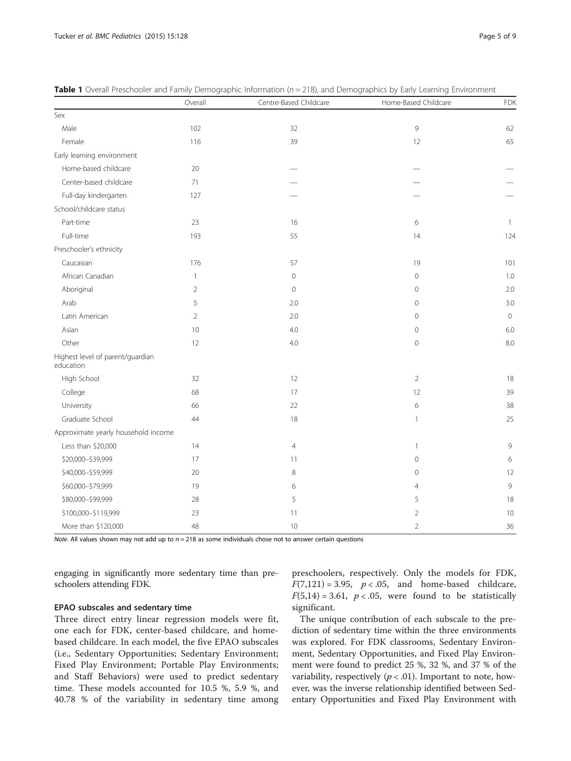|                                               | Overall        | Centre-Based Childcare | Home-Based Childcare | <b>FDK</b>   |
|-----------------------------------------------|----------------|------------------------|----------------------|--------------|
| Sex                                           |                |                        |                      |              |
| Male                                          | 102            | 32                     | 9                    | 62           |
| Female                                        | 116            | 39                     | 12                   | 65           |
| Early learning environment                    |                |                        |                      |              |
| Home-based childcare                          | $20\,$         |                        |                      |              |
| Center-based childcare                        | 71             |                        |                      |              |
| Full-day kindergarten                         | 127            |                        |                      |              |
| School/childcare status                       |                |                        |                      |              |
| Part-time                                     | 23             | 16                     | 6                    | $\mathbf{1}$ |
| Full-time                                     | 193            | 55                     | 14                   | 124          |
| Preschooler's ethnicity                       |                |                        |                      |              |
| Caucasian                                     | 176            | 57                     | 19                   | 101          |
| African Canadian                              | $\mathbf{1}$   | $\mathbf 0$            | $\mathbb O$          | 1.0          |
| Aboriginal                                    | $\overline{2}$ | $\mathbf{0}$           | $\mathbf{0}$         | 2.0          |
| Arab                                          | 5              | 2.0                    | $\mathbf 0$          | 3.0          |
| Latin American                                | $\overline{2}$ | 2.0                    | $\mathbf 0$          | $\mathbf 0$  |
| Asian                                         | 10             | 4.0                    | $\mathbf 0$          | 6.0          |
| Other                                         | 12             | 4.0                    | $\circ$              | 8.0          |
| Highest level of parent/guardian<br>education |                |                        |                      |              |
| High School                                   | 32             | 12                     | $\overline{2}$       | 18           |
| College                                       | 68             | 17                     | 12                   | 39           |
| University                                    | 66             | 22                     | 6                    | 38           |
| Graduate School                               | 44             | $18\,$                 | $\mathbf{1}$         | 25           |
| Approximate yearly household income           |                |                        |                      |              |
| Less than \$20,000                            | 14             | $\overline{4}$         | $\mathbf{1}$         | 9            |
| \$20,000-\$39,999                             | 17             | 11                     | $\circ$              | 6            |
| \$40,000-\$59,999                             | 20             | 8                      | $\mathbf{0}$         | 12           |
| \$60,000-\$79,999                             | 19             | 6                      | 4                    | 9            |
| \$80,000-\$99,999                             | 28             | 5                      | 5                    | 18           |
| \$100,000-\$119,999                           | 23             | 11                     | $\overline{2}$       | 10           |
| More than \$120,000                           | 48             | 10                     | $\overline{2}$       | 36           |

<span id="page-5-0"></span>

|  |  |  |  | <b>Table 1</b> Overall Preschooler and Family Demographic Information ( $n = 218$ ), and Demographics by Early Learning Environment |  |
|--|--|--|--|-------------------------------------------------------------------------------------------------------------------------------------|--|
|--|--|--|--|-------------------------------------------------------------------------------------------------------------------------------------|--|

Note. All values shown may not add up to  $n = 218$  as some individuals chose not to answer certain questions

engaging in significantly more sedentary time than preschoolers attending FDK.

## EPAO subscales and sedentary time

Three direct entry linear regression models were fit, one each for FDK, center-based childcare, and homebased childcare. In each model, the five EPAO subscales (i.e., Sedentary Opportunities; Sedentary Environment; Fixed Play Environment; Portable Play Environments; and Staff Behaviors) were used to predict sedentary time. These models accounted for 10.5 %, 5.9 %, and 40.78 % of the variability in sedentary time among

preschoolers, respectively. Only the models for FDK,  $F(7,121) = 3.95$ ,  $p < .05$ , and home-based childcare,  $F(5,14) = 3.61$ ,  $p < .05$ , were found to be statistically significant.

The unique contribution of each subscale to the prediction of sedentary time within the three environments was explored. For FDK classrooms, Sedentary Environment, Sedentary Opportunities, and Fixed Play Environment were found to predict 25 %, 32 %, and 37 % of the variability, respectively ( $p < .01$ ). Important to note, however, was the inverse relationship identified between Sedentary Opportunities and Fixed Play Environment with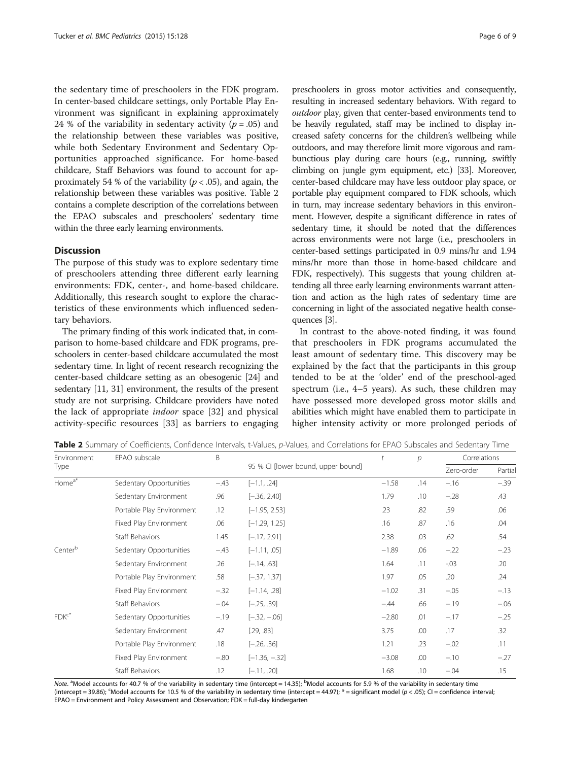the sedentary time of preschoolers in the FDK program. In center-based childcare settings, only Portable Play Environment was significant in explaining approximately 24 % of the variability in sedentary activity ( $p = .05$ ) and the relationship between these variables was positive, while both Sedentary Environment and Sedentary Opportunities approached significance. For home-based childcare, Staff Behaviors was found to account for approximately 54 % of the variability ( $p < .05$ ), and again, the relationship between these variables was positive. Table 2 contains a complete description of the correlations between the EPAO subscales and preschoolers' sedentary time within the three early learning environments.

## **Discussion**

The purpose of this study was to explore sedentary time of preschoolers attending three different early learning environments: FDK, center-, and home-based childcare. Additionally, this research sought to explore the characteristics of these environments which influenced sedentary behaviors.

The primary finding of this work indicated that, in comparison to home-based childcare and FDK programs, preschoolers in center-based childcare accumulated the most sedentary time. In light of recent research recognizing the center-based childcare setting as an obesogenic [\[24\]](#page-9-0) and sedentary [\[11,](#page-8-0) [31\]](#page-9-0) environment, the results of the present study are not surprising. Childcare providers have noted the lack of appropriate indoor space [\[32](#page-9-0)] and physical activity-specific resources [[33](#page-9-0)] as barriers to engaging

preschoolers in gross motor activities and consequently, resulting in increased sedentary behaviors. With regard to outdoor play, given that center-based environments tend to be heavily regulated, staff may be inclined to display increased safety concerns for the children's wellbeing while outdoors, and may therefore limit more vigorous and rambunctious play during care hours (e.g., running, swiftly climbing on jungle gym equipment, etc.) [[33](#page-9-0)]. Moreover, center-based childcare may have less outdoor play space, or portable play equipment compared to FDK schools, which in turn, may increase sedentary behaviors in this environment. However, despite a significant difference in rates of sedentary time, it should be noted that the differences across environments were not large (i.e., preschoolers in center-based settings participated in 0.9 mins/hr and 1.94 mins/hr more than those in home-based childcare and FDK, respectively). This suggests that young children attending all three early learning environments warrant attention and action as the high rates of sedentary time are concerning in light of the associated negative health consequences [\[3\]](#page-8-0).

In contrast to the above-noted finding, it was found that preschoolers in FDK programs accumulated the least amount of sedentary time. This discovery may be explained by the fact that the participants in this group tended to be at the 'older' end of the preschool-aged spectrum (i.e., 4–5 years). As such, these children may have possessed more developed gross motor skills and abilities which might have enabled them to participate in higher intensity activity or more prolonged periods of

| Table 2 Summary of Coefficients, Confidence Intervals, t-Values, p-Values, and Correlations for EPAO Subscales and Sedentary Time |
|-----------------------------------------------------------------------------------------------------------------------------------|
|-----------------------------------------------------------------------------------------------------------------------------------|

| Environment         | EPAO subscale             | B      |                                    |         | р   | Correlations |         |
|---------------------|---------------------------|--------|------------------------------------|---------|-----|--------------|---------|
| Type                |                           |        | 95 % CI [lower bound, upper bound] |         |     | Zero-order   | Partial |
| Home <sup>a*</sup>  | Sedentary Opportunities   | $-.43$ | $[-1.1, .24]$                      | $-1.58$ | .14 | $-.16$       | $-.39$  |
|                     | Sedentary Environment     | .96    | $[-.36, 2.40]$                     | 1.79    | .10 | $-.28$       | .43     |
|                     | Portable Play Environment | .12    | $[-1.95, 2.53]$                    | .23     | .82 | .59          | .06     |
|                     | Fixed Play Environment    | .06    | $[-1.29, 1.25]$                    | .16     | .87 | .16          | .04     |
|                     | <b>Staff Behaviors</b>    | 1.45   | $[-.17, 2.91]$                     | 2.38    | .03 | .62          | .54     |
| Center <sup>b</sup> | Sedentary Opportunities   | $-.43$ | $[-1.11, .05]$                     | $-1.89$ | .06 | $-.22$       | $-.23$  |
|                     | Sedentary Environment     | .26    | $[-.14, .63]$                      | 1.64    | .11 | $-0.03$      | .20     |
|                     | Portable Play Environment | .58    | $[-37, 1.37]$                      | 1.97    | .05 | .20          | .24     |
|                     | Fixed Play Environment    | $-.32$ | $[-1.14, .28]$                     | $-1.02$ | .31 | $-.05$       | $-.13$  |
|                     | Staff Behaviors           | $-.04$ | $[-.25, .39]$                      | $-.44$  | .66 | $-.19$       | $-.06$  |
| $FDKc*$             | Sedentary Opportunities   | $-.19$ | $[-32, -06]$                       | $-2.80$ | .01 | $-.17$       | $-.25$  |
|                     | Sedentary Environment     | .47    | [.29, .83]                         | 3.75    | .00 | .17          | .32     |
|                     | Portable Play Environment | .18    | $[-.26, .36]$                      | 1.21    | .23 | $-.02$       | .11     |
|                     | Fixed Play Environment    | $-.80$ | $[-1.36, -0.32]$                   | $-3.08$ | .00 | $-.10$       | $-.27$  |
|                     | Staff Behaviors           | .12    | $[-.11, .20]$                      | 1.68    | .10 | $-.04$       | .15     |

Note. <sup>a</sup>Model accounts for 40.7 % of the variability in sedentary time (intercept = 14.35); <sup>b</sup>Model accounts for 5.9 % of the variability in sedentary time (intercept = 39.86); <sup>c</sup>Model accounts for 10.5 % of the variability in sedentary time (intercept = 44.97); \* = significant model (p < .05); CI = confidence interval; EPAO = Environment and Policy Assessment and Observation; FDK = full-day kindergarten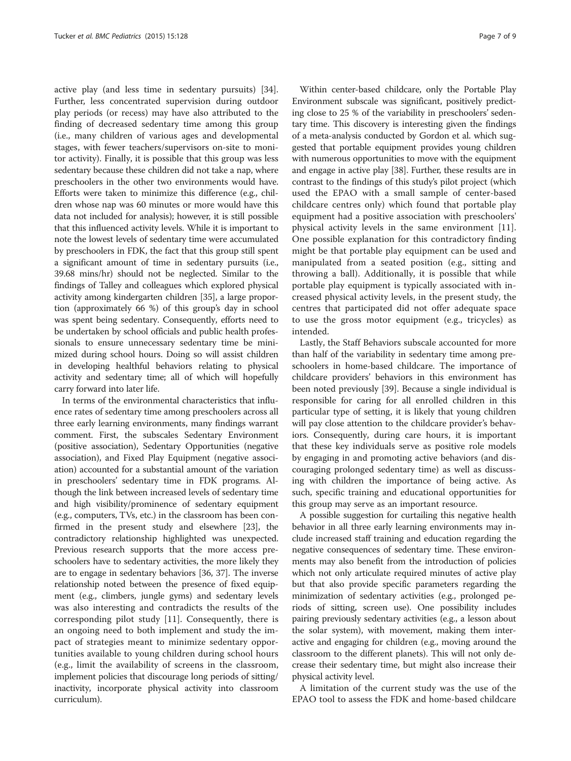active play (and less time in sedentary pursuits) [\[34](#page-9-0)]. Further, less concentrated supervision during outdoor play periods (or recess) may have also attributed to the finding of decreased sedentary time among this group (i.e., many children of various ages and developmental stages, with fewer teachers/supervisors on-site to monitor activity). Finally, it is possible that this group was less sedentary because these children did not take a nap, where preschoolers in the other two environments would have. Efforts were taken to minimize this difference (e.g., children whose nap was 60 minutes or more would have this data not included for analysis); however, it is still possible that this influenced activity levels. While it is important to note the lowest levels of sedentary time were accumulated by preschoolers in FDK, the fact that this group still spent a significant amount of time in sedentary pursuits (i.e., 39.68 mins/hr) should not be neglected. Similar to the findings of Talley and colleagues which explored physical activity among kindergarten children [[35](#page-9-0)], a large proportion (approximately 66 %) of this group's day in school was spent being sedentary. Consequently, efforts need to be undertaken by school officials and public health professionals to ensure unnecessary sedentary time be minimized during school hours. Doing so will assist children in developing healthful behaviors relating to physical activity and sedentary time; all of which will hopefully carry forward into later life.

In terms of the environmental characteristics that influence rates of sedentary time among preschoolers across all three early learning environments, many findings warrant comment. First, the subscales Sedentary Environment (positive association), Sedentary Opportunities (negative association), and Fixed Play Equipment (negative association) accounted for a substantial amount of the variation in preschoolers' sedentary time in FDK programs. Although the link between increased levels of sedentary time and high visibility/prominence of sedentary equipment (e.g., computers, TVs, etc.) in the classroom has been confirmed in the present study and elsewhere [[23](#page-9-0)], the contradictory relationship highlighted was unexpected. Previous research supports that the more access preschoolers have to sedentary activities, the more likely they are to engage in sedentary behaviors [\[36](#page-9-0), [37\]](#page-9-0). The inverse relationship noted between the presence of fixed equipment (e.g., climbers, jungle gyms) and sedentary levels was also interesting and contradicts the results of the corresponding pilot study [[11\]](#page-8-0). Consequently, there is an ongoing need to both implement and study the impact of strategies meant to minimize sedentary opportunities available to young children during school hours (e.g., limit the availability of screens in the classroom, implement policies that discourage long periods of sitting/ inactivity, incorporate physical activity into classroom curriculum).

Within center-based childcare, only the Portable Play Environment subscale was significant, positively predicting close to 25 % of the variability in preschoolers' sedentary time. This discovery is interesting given the findings of a meta-analysis conducted by Gordon et al. which suggested that portable equipment provides young children with numerous opportunities to move with the equipment and engage in active play [\[38\]](#page-9-0). Further, these results are in contrast to the findings of this study's pilot project (which used the EPAO with a small sample of center-based childcare centres only) which found that portable play equipment had a positive association with preschoolers' physical activity levels in the same environment [\[11](#page-8-0)]. One possible explanation for this contradictory finding might be that portable play equipment can be used and manipulated from a seated position (e.g., sitting and throwing a ball). Additionally, it is possible that while portable play equipment is typically associated with increased physical activity levels, in the present study, the centres that participated did not offer adequate space to use the gross motor equipment (e.g., tricycles) as intended.

Lastly, the Staff Behaviors subscale accounted for more than half of the variability in sedentary time among preschoolers in home-based childcare. The importance of childcare providers' behaviors in this environment has been noted previously [\[39\]](#page-9-0). Because a single individual is responsible for caring for all enrolled children in this particular type of setting, it is likely that young children will pay close attention to the childcare provider's behaviors. Consequently, during care hours, it is important that these key individuals serve as positive role models by engaging in and promoting active behaviors (and discouraging prolonged sedentary time) as well as discussing with children the importance of being active. As such, specific training and educational opportunities for this group may serve as an important resource.

A possible suggestion for curtailing this negative health behavior in all three early learning environments may include increased staff training and education regarding the negative consequences of sedentary time. These environments may also benefit from the introduction of policies which not only articulate required minutes of active play but that also provide specific parameters regarding the minimization of sedentary activities (e.g., prolonged periods of sitting, screen use). One possibility includes pairing previously sedentary activities (e.g., a lesson about the solar system), with movement, making them interactive and engaging for children (e.g., moving around the classroom to the different planets). This will not only decrease their sedentary time, but might also increase their physical activity level.

A limitation of the current study was the use of the EPAO tool to assess the FDK and home-based childcare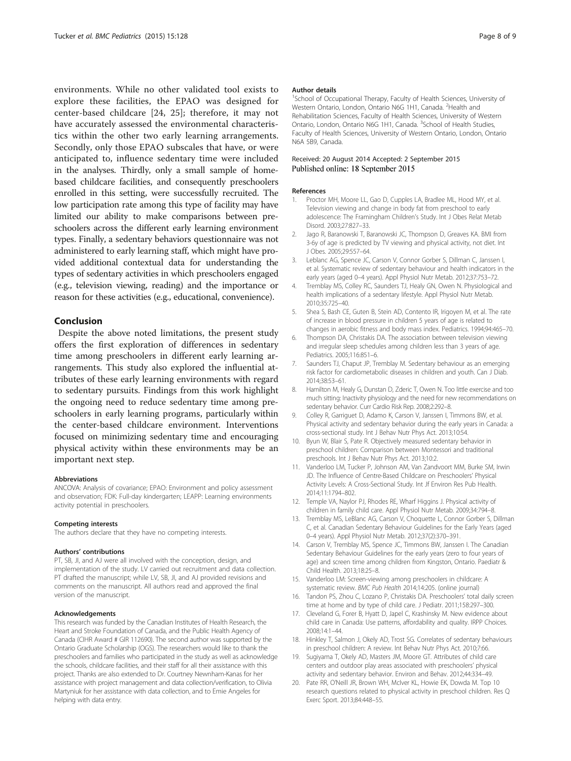<span id="page-8-0"></span>environments. While no other validated tool exists to explore these facilities, the EPAO was designed for center-based childcare [[24, 25\]](#page-9-0); therefore, it may not have accurately assessed the environmental characteristics within the other two early learning arrangements. Secondly, only those EPAO subscales that have, or were anticipated to, influence sedentary time were included in the analyses. Thirdly, only a small sample of homebased childcare facilities, and consequently preschoolers enrolled in this setting, were successfully recruited. The low participation rate among this type of facility may have limited our ability to make comparisons between preschoolers across the different early learning environment types. Finally, a sedentary behaviors questionnaire was not administered to early learning staff, which might have provided additional contextual data for understanding the types of sedentary activities in which preschoolers engaged (e.g., television viewing, reading) and the importance or reason for these activities (e.g., educational, convenience).

#### Conclusion

Despite the above noted limitations, the present study offers the first exploration of differences in sedentary time among preschoolers in different early learning arrangements. This study also explored the influential attributes of these early learning environments with regard to sedentary pursuits. Findings from this work highlight the ongoing need to reduce sedentary time among preschoolers in early learning programs, particularly within the center-based childcare environment. Interventions focused on minimizing sedentary time and encouraging physical activity within these environments may be an important next step.

#### Abbreviations

ANCOVA: Analysis of covariance; EPAO: Environment and policy assessment and observation; FDK: Full-day kindergarten; LEAPP: Learning environments activity potential in preschoolers.

#### Competing interests

The authors declare that they have no competing interests.

#### Authors' contributions

PT, SB, JI, and AJ were all involved with the conception, design, and implementation of the study. LV carried out recruitment and data collection. PT drafted the manuscript; while LV, SB, JI, and AJ provided revisions and comments on the manuscript. All authors read and approved the final version of the manuscript.

#### Acknowledgements

This research was funded by the Canadian Institutes of Health Research, the Heart and Stroke Foundation of Canada, and the Public Health Agency of Canada (CIHR Award # GIR 112690). The second author was supported by the Ontario Graduate Scholarship (OGS). The researchers would like to thank the preschoolers and families who participated in the study as well as acknowledge the schools, childcare facilities, and their staff for all their assistance with this project. Thanks are also extended to Dr. Courtney Newnham-Kanas for her assistance with project management and data collection/verification, to Olivia Martyniuk for her assistance with data collection, and to Emie Angeles for helping with data entry.

#### Author details

<sup>1</sup>School of Occupational Therapy, Faculty of Health Sciences, University of Western Ontario, London, Ontario N6G 1H1, Canada. <sup>2</sup> Health and Rehabilitation Sciences, Faculty of Health Sciences, University of Western Ontario, London, Ontario N6G 1H1, Canada. <sup>3</sup>School of Health Studies, Faculty of Health Sciences, University of Western Ontario, London, Ontario N6A 5B9, Canada.

#### Received: 20 August 2014 Accepted: 2 September 2015 Published online: 18 September 2015

#### References

- Proctor MH, Moore LL, Gao D, Cupples LA, Bradlee ML, Hood MY, et al. Television viewing and change in body fat from preschool to early adolescence: The Framingham Children's Study. Int J Obes Relat Metab Disord. 2003;27:827–33.
- 2. Jago R, Baranowski T, Baranowski JC, Thompson D, Greaves KA. BMI from 3-6y of age is predicted by TV viewing and physical activity, not diet. Int J Obes. 2005;29:557–64.
- 3. Leblanc AG, Spence JC, Carson V, Connor Gorber S, Dillman C, Janssen I, et al. Systematic review of sedentary behaviour and health indicators in the early years (aged 0–4 years). Appl Physiol Nutr Metab. 2012;37:753–72.
- 4. Tremblay MS, Colley RC, Saunders TJ, Healy GN, Owen N. Physiological and health implications of a sedentary lifestyle. Appl Physiol Nutr Metab. 2010;35:725–40.
- 5. Shea S, Bash CE, Guten B, Stein AD, Contento IR, Irigoyen M, et al. The rate of increase in blood pressure in children 5 years of age is related to changes in aerobic fitness and body mass index. Pediatrics. 1994;94:465–70.
- 6. Thompson DA, Christakis DA. The association between television viewing and irregular sleep schedules among children less than 3 years of age. Pediatrics. 2005;116:851–6.
- 7. Saunders TJ, Chaput JP, Tremblay M. Sedentary behaviour as an emerging risk factor for cardiometabolic diseases in children and youth. Can J Diab. 2014;38:53–61.
- 8. Hamilton M, Healy G, Dunstan D, Zderic T, Owen N. Too little exercise and too much sitting: Inactivity physiology and the need for new recommendations on sedentary behavior. Curr Cardio Risk Rep. 2008;2:292–8.
- 9. Colley R, Garriguet D, Adamo K, Carson V, Janssen I, Timmons BW, et al. Physical activity and sedentary behavior during the early years in Canada: a cross-sectional study. Int J Behav Nutr Phys Act. 2013;10:54.
- 10. Byun W, Blair S, Pate R. Objectively measured sedentary behavior in preschool children: Comparison between Montessori and traditional preschools. Int J Behav Nutr Phys Act. 2013;10:2.
- 11. Vanderloo LM, Tucker P, Johnson AM, Van Zandvoort MM, Burke SM, Irwin JD. The Influence of Centre-Based Childcare on Preschoolers' Physical Activity Levels: A Cross-Sectional Study. Int Jf Environ Res Pub Health. 2014;11:1794–802.
- 12. Temple VA, Naylor PJ, Rhodes RE, Wharf Higgins J. Physical activity of children in family child care. Appl Physiol Nutr Metab. 2009;34:794–8.
- 13. Tremblay MS, LeBlanc AG, Carson V, Choquette L, Connor Gorber S, Dillman C, et al. Canadian Sedentary Behaviour Guidelines for the Early Years (aged 0–4 years). Appl Physiol Nutr Metab. 2012;37(2):370–391.
- 14. Carson V, Tremblay MS, Spence JC, Timmons BW, Janssen I. The Canadian Sedentary Behaviour Guidelines for the early years (zero to four years of age) and screen time among children from Kingston, Ontario. Paediatr & Child Health. 2013;18:25–8.
- 15. Vanderloo LM: Screen-viewing among preschoolers in childcare: A systematic review. BMC Pub Health 2014;14:205. (online journal)
- 16. Tandon PS, Zhou C, Lozano P, Christakis DA. Preschoolers' total daily screen time at home and by type of child care. J Pediatr. 2011;158:297–300.
- 17. Cleveland G, Forer B, Hyatt D, Japel C, Krashinsky M. New evidence about child care in Canada: Use patterns, affordability and quality. IRPP Choices. 2008;14:1–44.
- 18. Hinkley T, Salmon J, Okely AD, Trost SG. Correlates of sedentary behaviours in preschool children: A review. Int Behav Nutr Phys Act. 2010;7:66.
- 19. Sugiyama T, Okely AD, Masters JM, Moore GT. Attributes of child care centers and outdoor play areas associated with preschoolers' physical activity and sedentary behavior. Environ and Behav. 2012;44:334–49.
- 20. Pate RR, O'Neill JR, Brown WH, McIver KL, Howie EK, Dowda M. Top 10 research questions related to physical activity in preschool children. Res Q Exerc Sport. 2013;84:448–55.